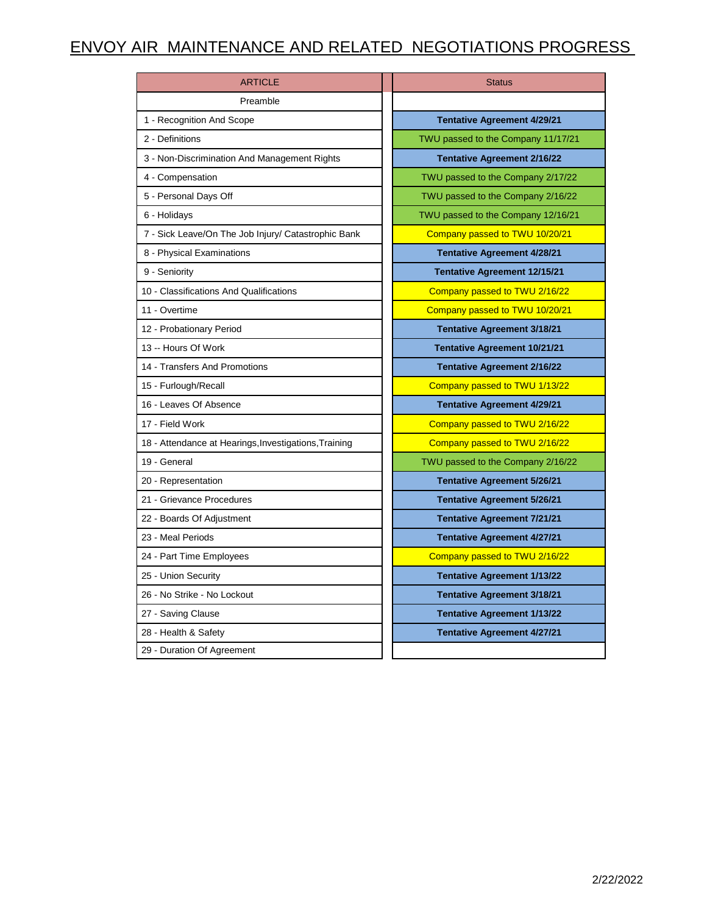## ENVOY AIR MAINTENANCE AND RELATED NEGOTIATIONS PROGRESS

| <b>ARTICLE</b>                                        | <b>Status</b>                       |
|-------------------------------------------------------|-------------------------------------|
| Preamble                                              |                                     |
| 1 - Recognition And Scope                             | <b>Tentative Agreement 4/29/21</b>  |
| 2 - Definitions                                       | TWU passed to the Company 11/17/21  |
| 3 - Non-Discrimination And Management Rights          | <b>Tentative Agreement 2/16/22</b>  |
| 4 - Compensation                                      | TWU passed to the Company 2/17/22   |
| 5 - Personal Days Off                                 | TWU passed to the Company 2/16/22   |
| 6 - Holidays                                          | TWU passed to the Company 12/16/21  |
| 7 - Sick Leave/On The Job Injury/ Catastrophic Bank   | Company passed to TWU 10/20/21      |
| 8 - Physical Examinations                             | <b>Tentative Agreement 4/28/21</b>  |
| 9 - Seniority                                         | <b>Tentative Agreement 12/15/21</b> |
| 10 - Classifications And Qualifications               | Company passed to TWU 2/16/22       |
| 11 - Overtime                                         | Company passed to TWU 10/20/21      |
| 12 - Probationary Period                              | <b>Tentative Agreement 3/18/21</b>  |
| 13 -- Hours Of Work                                   | <b>Tentative Agreement 10/21/21</b> |
| 14 - Transfers And Promotions                         | <b>Tentative Agreement 2/16/22</b>  |
| 15 - Furlough/Recall                                  | Company passed to TWU 1/13/22       |
| 16 - Leaves Of Absence                                | <b>Tentative Agreement 4/29/21</b>  |
| 17 - Field Work                                       | Company passed to TWU 2/16/22       |
| 18 - Attendance at Hearings, Investigations, Training | Company passed to TWU 2/16/22       |
| 19 - General                                          | TWU passed to the Company 2/16/22   |
| 20 - Representation                                   | <b>Tentative Agreement 5/26/21</b>  |
| 21 - Grievance Procedures                             | <b>Tentative Agreement 5/26/21</b>  |
| 22 - Boards Of Adjustment                             | <b>Tentative Agreement 7/21/21</b>  |
| 23 - Meal Periods                                     | <b>Tentative Agreement 4/27/21</b>  |
| 24 - Part Time Employees                              | Company passed to TWU 2/16/22       |
| 25 - Union Security                                   | <b>Tentative Agreement 1/13/22</b>  |
| 26 - No Strike - No Lockout                           | <b>Tentative Agreement 3/18/21</b>  |
| 27 - Saving Clause                                    | <b>Tentative Agreement 1/13/22</b>  |
| 28 - Health & Safety                                  | <b>Tentative Agreement 4/27/21</b>  |
| 29 - Duration Of Agreement                            |                                     |